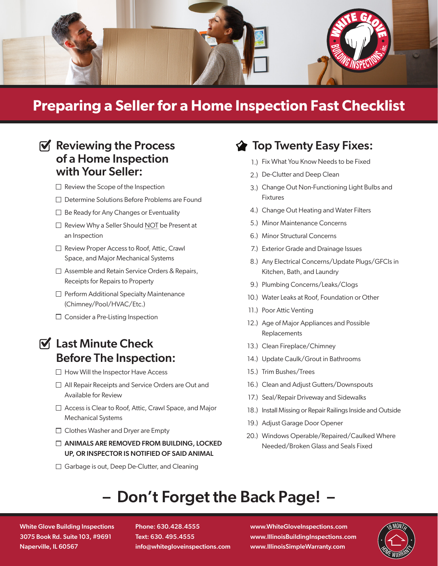

# **Preparing a Seller for a Home Inspection Fast Checklist**

# $\mathbf{\nabla}$  Reviewing the Process of a Home Inspection with Your Seller:

- $\Box$  Review the Scope of the Inspection
- □ Determine Solutions Before Problems are Found
- $\Box$  Be Ready for Any Changes or Eventuality
- $\Box$  Review Why a Seller Should NOT be Present at an Inspection
- □ Review Proper Access to Roof, Attic, Crawl Space, and Major Mechanical Systems
- □ Assemble and Retain Service Orders & Repairs, Receipts for Repairs to Property
- $\Box$  Perform Additional Specialty Maintenance (Chimney/Pool/HVAC/Etc.)
- $\Box$  Consider a Pre-Listing Inspection
- $\triangledown$  Last Minute Check Before The Inspection:
	- $\Box$  How Will the Inspector Have Access
	- □ All Repair Receipts and Service Orders are Out and Available for Review
	- □ Access is Clear to Roof, Attic, Crawl Space, and Major Mechanical Systems
	- □ Clothes Washer and Dryer are Empty
	- ANIMALS ARE REMOVED FROM BUILDING, LOCKED UP, OR INSPECTOR IS NOTIFIED OF SAID ANIMAL
	- □ Garbage is out, Deep De-Clutter, and Cleaning

# **Top Twenty Easy Fixes:**

- 1.) Fix What You Know Needs to be Fixed
- 2.) De-Clutter and Deep Clean
- Change Out Non-Functioning Light Bulbs and 3.) Fixtures
- Change Out Heating and Water Filters 4.)
- 5.) Minor Maintenance Concerns
- 6.) Minor Structural Concerns
- 7.) Exterior Grade and Drainage Issues
- 8.) Any Electrical Concerns/Update Plugs/GFCIs in Kitchen, Bath, and Laundry
- 9.) Plumbing Concerns/Leaks/Clogs
- 10.) Water Leaks at Roof, Foundation or Other
- 11.) Poor Attic Venting
- 12.) Age of Major Appliances and Possible Replacements
- 13.) Clean Fireplace/Chimney
- 14.) Update Caulk/Grout in Bathrooms
- 15.) Trim Bushes/Trees
- 16.) Clean and Adjust Gutters/Downspouts
- 17.) Seal/Repair Driveway and Sidewalks
- 18.) Install Missing or Repair Railings Inside and Outside
- 19.) Adjust Garage Door Opener
- 20.) Windows Operable/Repaired/Caulked Where Needed/Broken Glass and Seals Fixed

# – Don't Forget the Back Page! –

White Glove Building Inspections 3075 Book Rd. Suite 103, #9691 Naperville, IL 60567

Phone: 630.428.4555 Text: 630. 495.4555 info@whitegloveinspections.com www.WhiteGloveInspections.com www.IllinoisBuildingInspections.com www.IllinoisSimpleWarranty.com